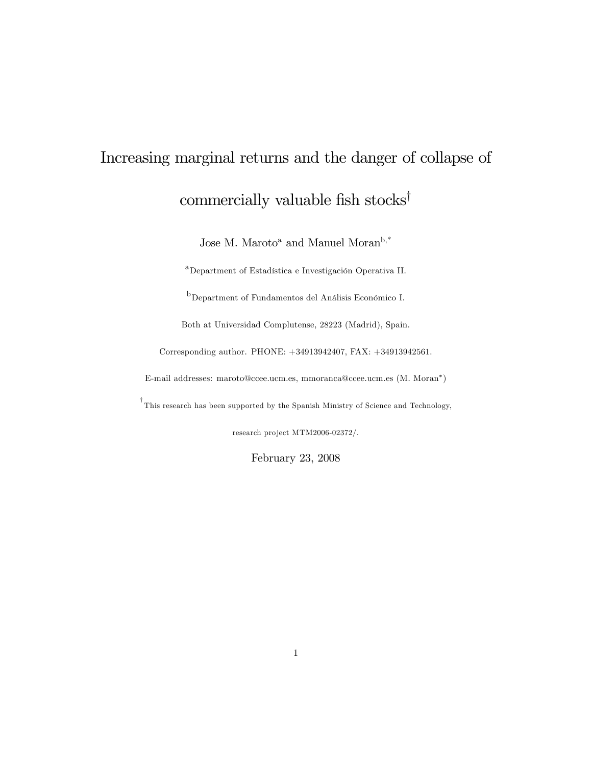# Increasing marginal returns and the danger of collapse of commercially valuable fish stocks<sup>†</sup>

Jose M. Maroto<sup>a</sup> and Manuel Moran $^{\rm b, *}$ 

<sup>a</sup>Department of Estadística e Investigación Operativa II.

 $<sup>b</sup>$ Department of Fundamentos del Análisis Económico I.</sup>

Both at Universidad Complutense, 28223 (Madrid), Spain.

Corresponding author. PHONE: +34913942407, FAX: +34913942561.

E-mail addresses: maroto@ccee.ucm.es, mmoranca@ccee.ucm.es (M. Moran )

This research has been supported by the Spanish Ministry of Science and Technology,

research project MTM2006-02372/.

February 23, 2008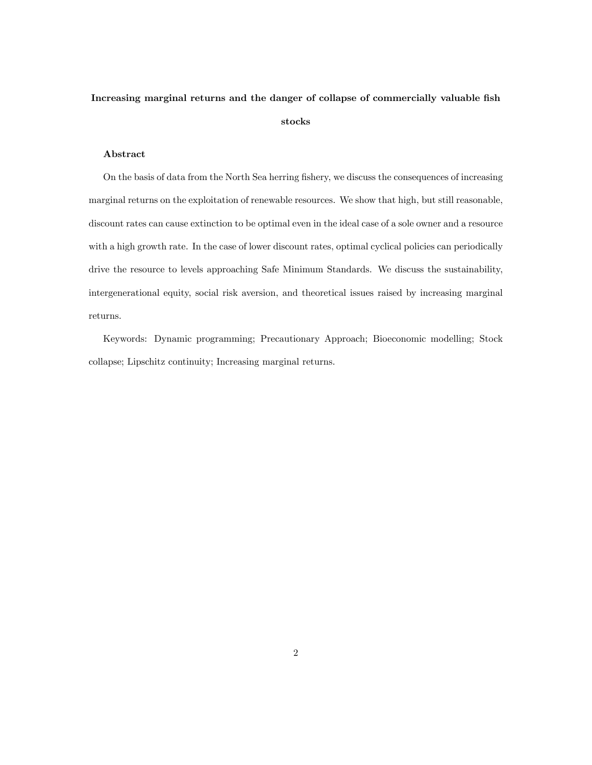# Increasing marginal returns and the danger of collapse of commercially valuable fish stocks

#### Abstract

On the basis of data from the North Sea herring fishery, we discuss the consequences of increasing marginal returns on the exploitation of renewable resources. We show that high, but still reasonable, discount rates can cause extinction to be optimal even in the ideal case of a sole owner and a resource with a high growth rate. In the case of lower discount rates, optimal cyclical policies can periodically drive the resource to levels approaching Safe Minimum Standards. We discuss the sustainability, intergenerational equity, social risk aversion, and theoretical issues raised by increasing marginal returns.

Keywords: Dynamic programming; Precautionary Approach; Bioeconomic modelling; Stock collapse; Lipschitz continuity; Increasing marginal returns.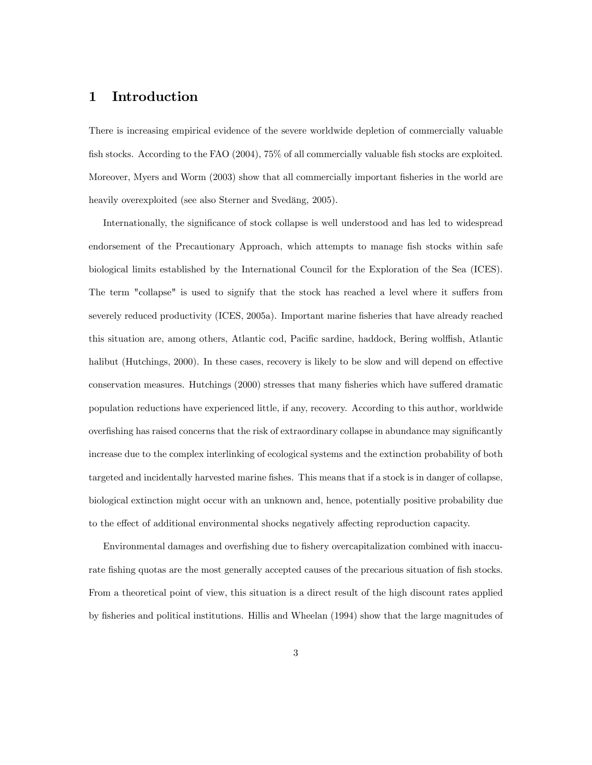## 1 Introduction

There is increasing empirical evidence of the severe worldwide depletion of commercially valuable fish stocks. According to the FAO (2004), 75% of all commercially valuable fish stocks are exploited. Moreover, Myers and Worm (2003) show that all commercially important fisheries in the world are heavily overexploited (see also Sterner and Svedäng, 2005).

Internationally, the significance of stock collapse is well understood and has led to widespread endorsement of the Precautionary Approach, which attempts to manage fish stocks within safe biological limits established by the International Council for the Exploration of the Sea (ICES). The term "collapse" is used to signify that the stock has reached a level where it suffers from severely reduced productivity (ICES, 2005a). Important marine Ösheries that have already reached this situation are, among others, Atlantic cod, Pacific sardine, haddock, Bering wolffish, Atlantic halibut (Hutchings, 2000). In these cases, recovery is likely to be slow and will depend on effective conservation measures. Hutchings (2000) stresses that many fisheries which have suffered dramatic population reductions have experienced little, if any, recovery. According to this author, worldwide overfishing has raised concerns that the risk of extraordinary collapse in abundance may significantly increase due to the complex interlinking of ecological systems and the extinction probability of both targeted and incidentally harvested marine fishes. This means that if a stock is in danger of collapse, biological extinction might occur with an unknown and, hence, potentially positive probability due to the effect of additional environmental shocks negatively affecting reproduction capacity.

Environmental damages and overfishing due to fishery overcapitalization combined with inaccurate fishing quotas are the most generally accepted causes of the precarious situation of fish stocks. From a theoretical point of view, this situation is a direct result of the high discount rates applied by Ösheries and political institutions. Hillis and Wheelan (1994) show that the large magnitudes of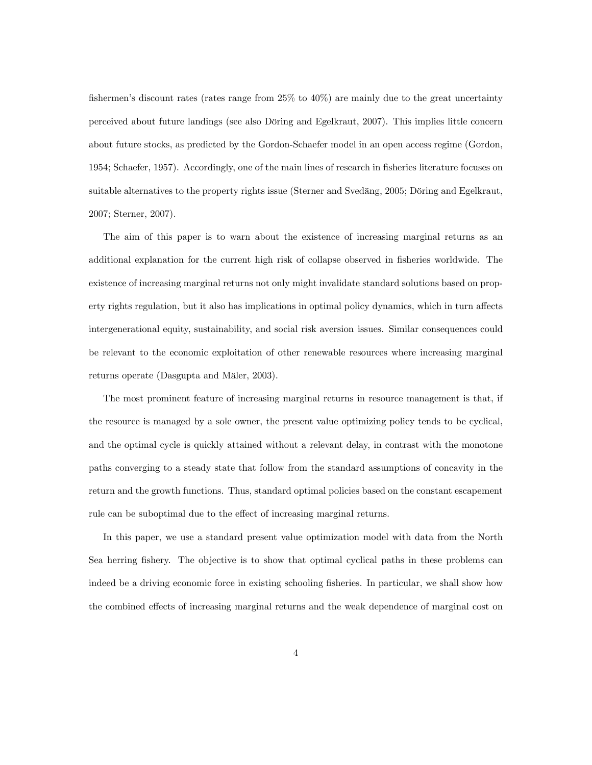fishermen's discount rates (rates range from  $25\%$  to  $40\%$ ) are mainly due to the great uncertainty perceived about future landings (see also Döring and Egelkraut, 2007). This implies little concern about future stocks, as predicted by the Gordon-Schaefer model in an open access regime (Gordon, 1954; Schaefer, 1957). Accordingly, one of the main lines of research in fisheries literature focuses on suitable alternatives to the property rights issue (Sterner and Svedäng, 2005; Döring and Egelkraut, 2007; Sterner, 2007).

The aim of this paper is to warn about the existence of increasing marginal returns as an additional explanation for the current high risk of collapse observed in fisheries worldwide. The existence of increasing marginal returns not only might invalidate standard solutions based on property rights regulation, but it also has implications in optimal policy dynamics, which in turn affects intergenerational equity, sustainability, and social risk aversion issues. Similar consequences could be relevant to the economic exploitation of other renewable resources where increasing marginal returns operate (Dasgupta and Mäler, 2003).

The most prominent feature of increasing marginal returns in resource management is that, if the resource is managed by a sole owner, the present value optimizing policy tends to be cyclical, and the optimal cycle is quickly attained without a relevant delay, in contrast with the monotone paths converging to a steady state that follow from the standard assumptions of concavity in the return and the growth functions. Thus, standard optimal policies based on the constant escapement rule can be suboptimal due to the effect of increasing marginal returns.

In this paper, we use a standard present value optimization model with data from the North Sea herring fishery. The objective is to show that optimal cyclical paths in these problems can indeed be a driving economic force in existing schooling fisheries. In particular, we shall show how the combined effects of increasing marginal returns and the weak dependence of marginal cost on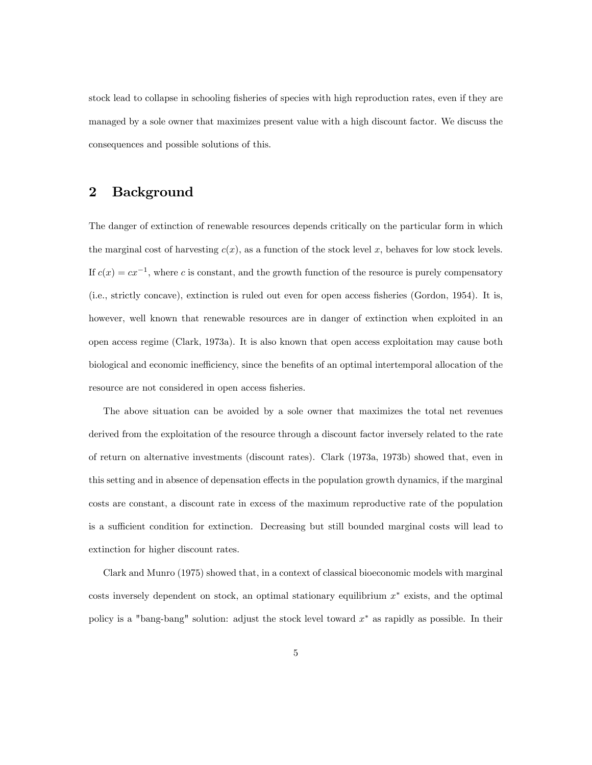stock lead to collapse in schooling fisheries of species with high reproduction rates, even if they are managed by a sole owner that maximizes present value with a high discount factor. We discuss the consequences and possible solutions of this.

# 2 Background

The danger of extinction of renewable resources depends critically on the particular form in which the marginal cost of harvesting  $c(x)$ , as a function of the stock level x, behaves for low stock levels. If  $c(x) = cx^{-1}$ , where c is constant, and the growth function of the resource is purely compensatory (i.e., strictly concave), extinction is ruled out even for open access Ösheries (Gordon, 1954). It is, however, well known that renewable resources are in danger of extinction when exploited in an open access regime (Clark, 1973a). It is also known that open access exploitation may cause both biological and economic inefficiency, since the benefits of an optimal intertemporal allocation of the resource are not considered in open access fisheries.

The above situation can be avoided by a sole owner that maximizes the total net revenues derived from the exploitation of the resource through a discount factor inversely related to the rate of return on alternative investments (discount rates). Clark (1973a, 1973b) showed that, even in this setting and in absence of depensation effects in the population growth dynamics, if the marginal costs are constant, a discount rate in excess of the maximum reproductive rate of the population is a sufficient condition for extinction. Decreasing but still bounded marginal costs will lead to extinction for higher discount rates.

Clark and Munro (1975) showed that, in a context of classical bioeconomic models with marginal  $\cos$ ts inversely dependent on stock, an optimal stationary equilibrium  $x^*$  exists, and the optimal policy is a "bang-bang" solution: adjust the stock level toward  $x^*$  as rapidly as possible. In their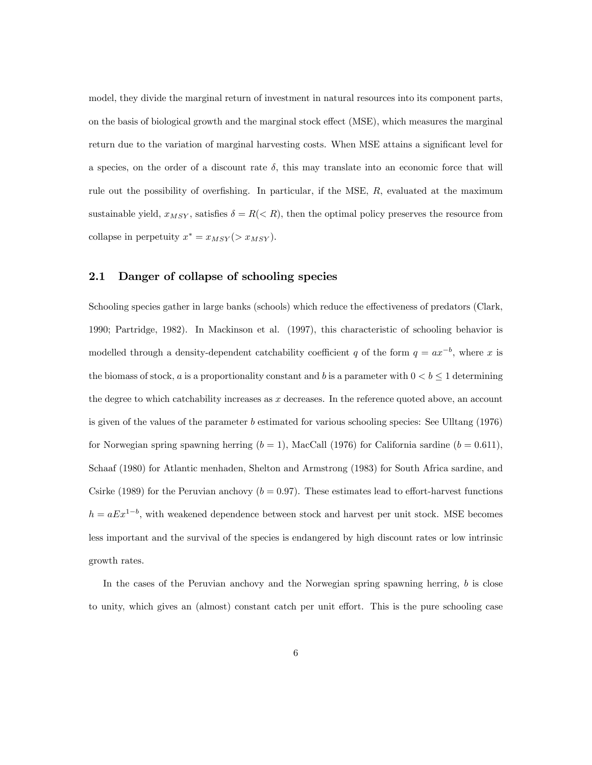model, they divide the marginal return of investment in natural resources into its component parts, on the basis of biological growth and the marginal stock effect (MSE), which measures the marginal return due to the variation of marginal harvesting costs. When MSE attains a significant level for a species, on the order of a discount rate  $\delta$ , this may translate into an economic force that will rule out the possibility of overfishing. In particular, if the MSE,  $R$ , evaluated at the maximum sustainable yield,  $x_{MSY}$ , satisfies  $\delta = R(< R)$ , then the optimal policy preserves the resource from collapse in perpetuity  $x^* = x_{MSY} (> x_{MSY})$ .

#### 2.1 Danger of collapse of schooling species

Schooling species gather in large banks (schools) which reduce the effectiveness of predators (Clark, 1990; Partridge, 1982). In Mackinson et al. (1997), this characteristic of schooling behavior is modelled through a density-dependent catchability coefficient q of the form  $q = ax^{-b}$ , where x is the biomass of stock, a is a proportionality constant and b is a parameter with  $0 < b \leq 1$  determining the degree to which catchability increases as  $x$  decreases. In the reference quoted above, an account is given of the values of the parameter b estimated for various schooling species: See Ulltang (1976) for Norwegian spring spawning herring  $(b = 1)$ , MacCall (1976) for California sardine  $(b = 0.611)$ , Schaaf (1980) for Atlantic menhaden, Shelton and Armstrong (1983) for South Africa sardine, and Csirke (1989) for the Peruvian anchovy ( $b = 0.97$ ). These estimates lead to effort-harvest functions  $h = aEx^{1-b}$ , with weakened dependence between stock and harvest per unit stock. MSE becomes less important and the survival of the species is endangered by high discount rates or low intrinsic growth rates.

In the cases of the Peruvian anchovy and the Norwegian spring spawning herring, b is close to unity, which gives an (almost) constant catch per unit effort. This is the pure schooling case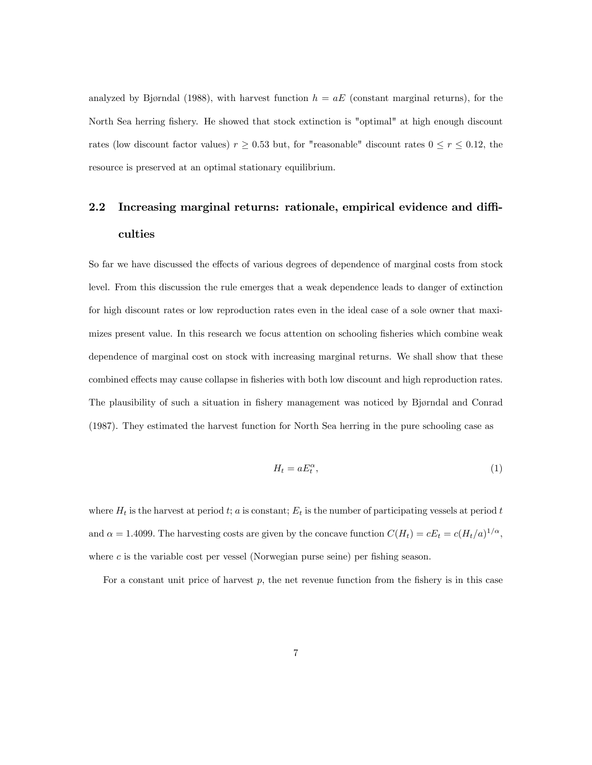analyzed by Bjørndal (1988), with harvest function  $h = aE$  (constant marginal returns), for the North Sea herring fishery. He showed that stock extinction is "optimal" at high enough discount rates (low discount factor values)  $r \ge 0.53$  but, for "reasonable" discount rates  $0 \le r \le 0.12$ , the resource is preserved at an optimal stationary equilibrium.

# 2.2 Increasing marginal returns: rationale, empirical evidence and difficulties

So far we have discussed the effects of various degrees of dependence of marginal costs from stock level. From this discussion the rule emerges that a weak dependence leads to danger of extinction for high discount rates or low reproduction rates even in the ideal case of a sole owner that maximizes present value. In this research we focus attention on schooling fisheries which combine weak dependence of marginal cost on stock with increasing marginal returns. We shall show that these combined effects may cause collapse in fisheries with both low discount and high reproduction rates. The plausibility of such a situation in fishery management was noticed by Bjørndal and Conrad (1987). They estimated the harvest function for North Sea herring in the pure schooling case as

$$
H_t = aE_t^{\alpha},\tag{1}
$$

where  $H_t$  is the harvest at period t; a is constant;  $E_t$  is the number of participating vessels at period t and  $\alpha = 1.4099$ . The harvesting costs are given by the concave function  $C(H_t) = cE_t = c(H_t/a)^{1/\alpha}$ , where  $c$  is the variable cost per vessel (Norwegian purse seine) per fishing season.

For a constant unit price of harvest  $p$ , the net revenue function from the fishery is in this case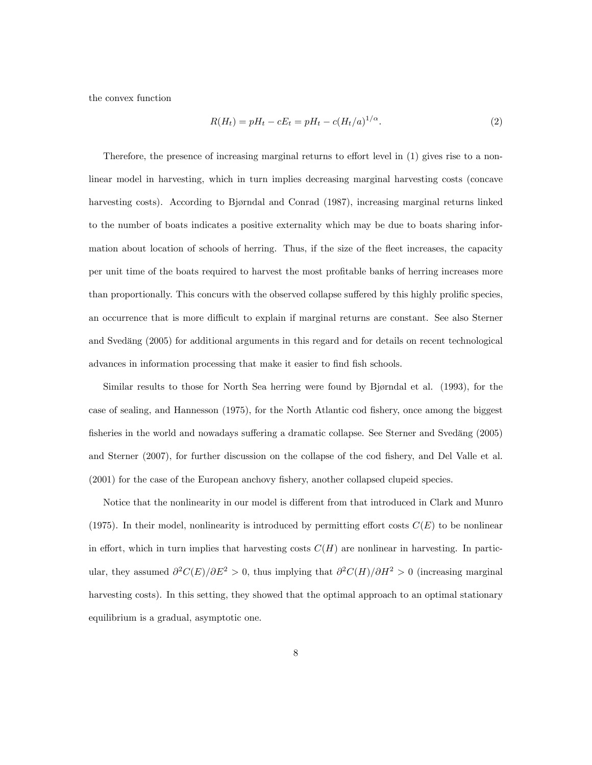the convex function

$$
R(H_t) = pH_t - cE_t = pH_t - c(H_t/a)^{1/\alpha}.
$$
\n(2)

Therefore, the presence of increasing marginal returns to effort level in  $(1)$  gives rise to a nonlinear model in harvesting, which in turn implies decreasing marginal harvesting costs (concave harvesting costs). According to Bjørndal and Conrad (1987), increasing marginal returns linked to the number of boats indicates a positive externality which may be due to boats sharing information about location of schools of herring. Thus, if the size of the fleet increases, the capacity per unit time of the boats required to harvest the most profitable banks of herring increases more than proportionally. This concurs with the observed collapse suffered by this highly prolific species, an occurrence that is more difficult to explain if marginal returns are constant. See also Sterner and Svedäng (2005) for additional arguments in this regard and for details on recent technological advances in information processing that make it easier to find fish schools.

Similar results to those for North Sea herring were found by Bjørndal et al. (1993), for the case of sealing, and Hannesson (1975), for the North Atlantic cod fishery, once among the biggest fisheries in the world and nowadays suffering a dramatic collapse. See Sterner and Svedäng (2005) and Sterner (2007), for further discussion on the collapse of the cod fishery, and Del Valle et al. (2001) for the case of the European anchovy fishery, another collapsed clupeid species.

Notice that the nonlinearity in our model is different from that introduced in Clark and Munro (1975). In their model, nonlinearity is introduced by permitting effort costs  $C(E)$  to be nonlinear in effort, which in turn implies that harvesting costs  $C(H)$  are nonlinear in harvesting. In particular, they assumed  $\partial^2 C(E)/\partial E^2 > 0$ , thus implying that  $\partial^2 C(H)/\partial H^2 > 0$  (increasing marginal harvesting costs). In this setting, they showed that the optimal approach to an optimal stationary equilibrium is a gradual, asymptotic one.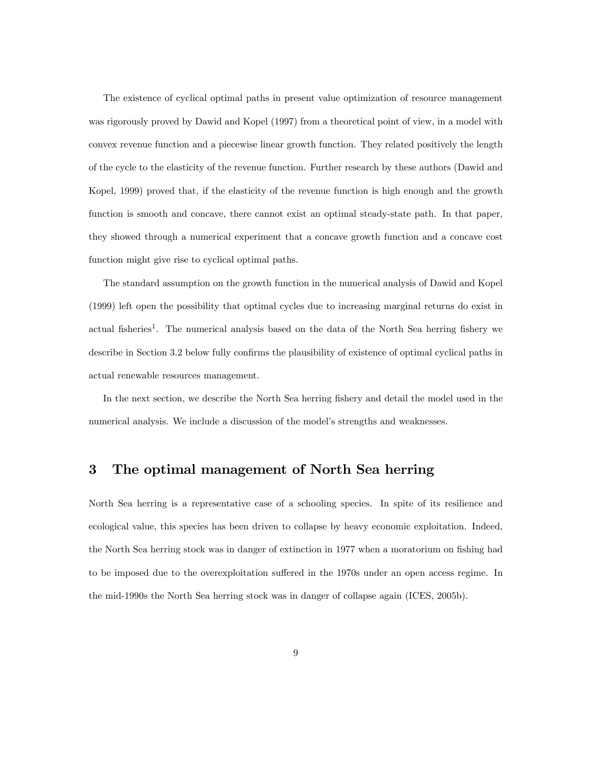The existence of cyclical optimal paths in present value optimization of resource management was rigorously proved by Dawid and Kopel (1997) from a theoretical point of view, in a model with convex revenue function and a piecewise linear growth function. They related positively the length of the cycle to the elasticity of the revenue function. Further research by these authors (Dawid and Kopel, 1999) proved that, if the elasticity of the revenue function is high enough and the growth function is smooth and concave, there cannot exist an optimal steady-state path. In that paper, they showed through a numerical experiment that a concave growth function and a concave cost function might give rise to cyclical optimal paths.

The standard assumption on the growth function in the numerical analysis of Dawid and Kopel (1999) left open the possibility that optimal cycles due to increasing marginal returns do exist in actual fisheries<sup>1</sup>. The numerical analysis based on the data of the North Sea herring fishery we describe in Section 3.2 below fully confirms the plausibility of existence of optimal cyclical paths in actual renewable resources management.

In the next section, we describe the North Sea herring fishery and detail the model used in the numerical analysis. We include a discussion of the model's strengths and weaknesses.

# 3 The optimal management of North Sea herring

North Sea herring is a representative case of a schooling species. In spite of its resilience and ecological value, this species has been driven to collapse by heavy economic exploitation. Indeed, the North Sea herring stock was in danger of extinction in 1977 when a moratorium on fishing had to be imposed due to the overexploitation suffered in the 1970s under an open access regime. In the mid-1990s the North Sea herring stock was in danger of collapse again (ICES, 2005b).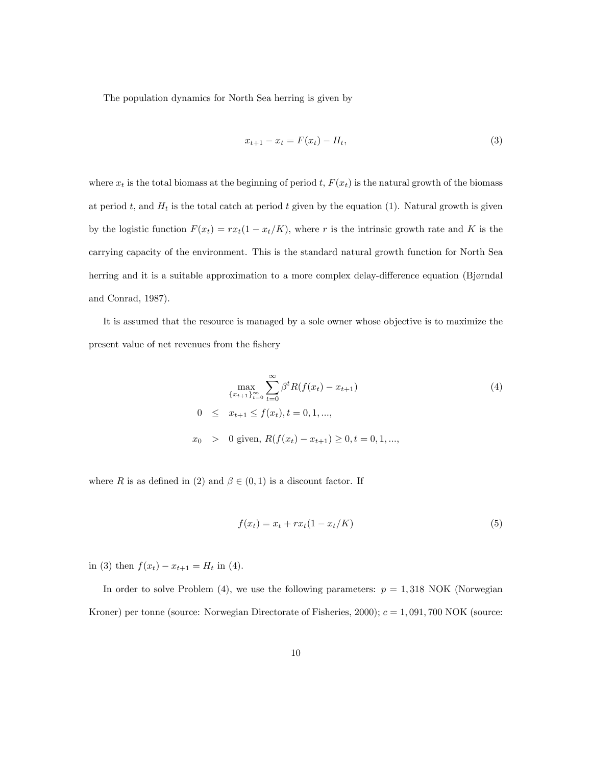The population dynamics for North Sea herring is given by

$$
x_{t+1} - x_t = F(x_t) - H_t,
$$
\n(3)

where  $x_t$  is the total biomass at the beginning of period t,  $F(x_t)$  is the natural growth of the biomass at period t, and  $H_t$  is the total catch at period t given by the equation (1). Natural growth is given by the logistic function  $F(x_t) = rx_t(1 - x_t/K)$ , where r is the intrinsic growth rate and K is the carrying capacity of the environment. This is the standard natural growth function for North Sea herring and it is a suitable approximation to a more complex delay-difference equation (Bjørndal) and Conrad, 1987).

It is assumed that the resource is managed by a sole owner whose objective is to maximize the present value of net revenues from the fishery

$$
\max_{\{x_{t+1}\}_{t=0}^{\infty}} \sum_{t=0}^{\infty} \beta^t R(f(x_t) - x_{t+1})
$$
\n
$$
0 \leq x_{t+1} \leq f(x_t), t = 0, 1, ...,
$$
\n
$$
x_0 > 0 \text{ given, } R(f(x_t) - x_{t+1}) \geq 0, t = 0, 1, ...,
$$
\n(4)

where R is as defined in (2) and  $\beta \in (0,1)$  is a discount factor. If

$$
f(x_t) = x_t + rx_t(1 - x_t/K)
$$
\n(5)

in (3) then  $f(x_t) - x_{t+1} = H_t$  in (4).

In order to solve Problem (4), we use the following parameters:  $p = 1,318$  NOK (Norwegian Kroner) per tonne (source: Norwegian Directorate of Fisheries, 2000);  $c = 1,091,700 \text{ NOK}$  (source: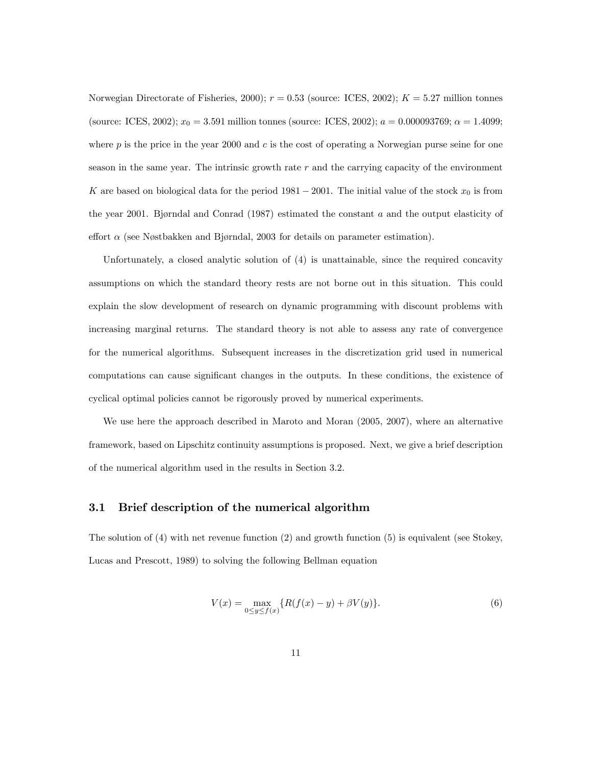Norwegian Directorate of Fisheries, 2000);  $r = 0.53$  (source: ICES, 2002);  $K = 5.27$  million tonnes (source: ICES, 2002);  $x_0 = 3.591$  million tonnes (source: ICES, 2002);  $a = 0.000093769$ ;  $\alpha = 1.4099$ ; where p is the price in the year 2000 and c is the cost of operating a Norwegian purse seine for one season in the same year. The intrinsic growth rate  $r$  and the carrying capacity of the environment K are based on biological data for the period  $1981 - 2001$ . The initial value of the stock  $x_0$  is from the year 2001. Bjørndal and Conrad (1987) estimated the constant a and the output elasticity of effort  $\alpha$  (see Nøstbakken and Bjørndal, 2003 for details on parameter estimation).

Unfortunately, a closed analytic solution of (4) is unattainable, since the required concavity assumptions on which the standard theory rests are not borne out in this situation. This could explain the slow development of research on dynamic programming with discount problems with increasing marginal returns. The standard theory is not able to assess any rate of convergence for the numerical algorithms. Subsequent increases in the discretization grid used in numerical computations can cause significant changes in the outputs. In these conditions, the existence of cyclical optimal policies cannot be rigorously proved by numerical experiments.

We use here the approach described in Maroto and Moran (2005, 2007), where an alternative framework, based on Lipschitz continuity assumptions is proposed. Next, we give a brief description of the numerical algorithm used in the results in Section 3.2.

#### 3.1 Brief description of the numerical algorithm

The solution of (4) with net revenue function (2) and growth function (5) is equivalent (see Stokey, Lucas and Prescott, 1989) to solving the following Bellman equation

$$
V(x) = \max_{0 \le y \le f(x)} \{ R(f(x) - y) + \beta V(y) \}.
$$
 (6)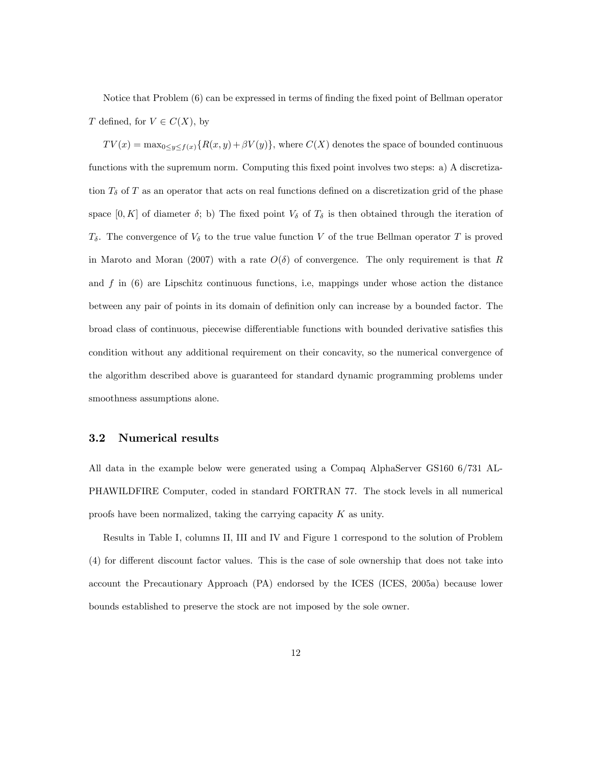Notice that Problem (6) can be expressed in terms of finding the fixed point of Bellman operator T defined, for  $V \in C(X)$ , by

 $TV(x) = \max_{0 \le y \le f(x)} \{R(x, y) + \beta V(y)\},\$  where  $C(X)$  denotes the space of bounded continuous functions with the supremum norm. Computing this fixed point involves two steps: a) A discretization  $T_{\delta}$  of T as an operator that acts on real functions defined on a discretization grid of the phase space  $[0, K]$  of diameter  $\delta$ ; b) The fixed point  $V_{\delta}$  of  $T_{\delta}$  is then obtained through the iteration of  $T_{\delta}$ . The convergence of  $V_{\delta}$  to the true value function V of the true Bellman operator T is proved in Maroto and Moran (2007) with a rate  $O(\delta)$  of convergence. The only requirement is that R and  $f$  in  $(6)$  are Lipschitz continuous functions, i.e, mappings under whose action the distance between any pair of points in its domain of definition only can increase by a bounded factor. The broad class of continuous, piecewise differentiable functions with bounded derivative satisfies this condition without any additional requirement on their concavity, so the numerical convergence of the algorithm described above is guaranteed for standard dynamic programming problems under smoothness assumptions alone.

#### 3.2 Numerical results

All data in the example below were generated using a Compaq AlphaServer GS160 6/731 AL-PHAWILDFIRE Computer, coded in standard FORTRAN 77. The stock levels in all numerical proofs have been normalized, taking the carrying capacity  $K$  as unity.

Results in Table I, columns II, III and IV and Figure 1 correspond to the solution of Problem (4) for different discount factor values. This is the case of sole ownership that does not take into account the Precautionary Approach (PA) endorsed by the ICES (ICES, 2005a) because lower bounds established to preserve the stock are not imposed by the sole owner.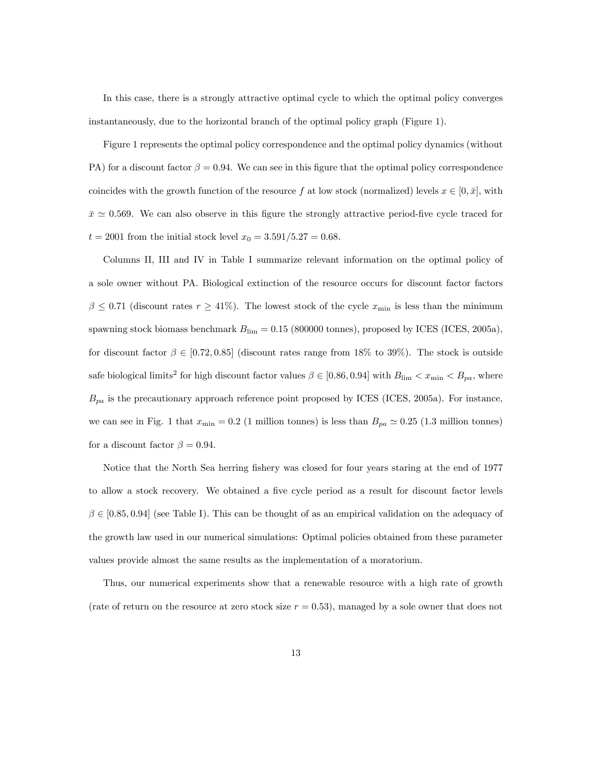In this case, there is a strongly attractive optimal cycle to which the optimal policy converges instantaneously, due to the horizontal branch of the optimal policy graph (Figure 1).

Figure 1 represents the optimal policy correspondence and the optimal policy dynamics (without PA) for a discount factor  $\beta = 0.94$ . We can see in this figure that the optimal policy correspondence coincides with the growth function of the resource f at low stock (normalized) levels  $x \in [0, \bar{x}]$ , with  $\bar{x} \simeq 0.569$ . We can also observe in this figure the strongly attractive period-five cycle traced for  $t = 2001$  from the initial stock level  $x_0 = 3.591/5.27 = 0.68$ .

Columns II, III and IV in Table I summarize relevant information on the optimal policy of a sole owner without PA. Biological extinction of the resource occurs for discount factor factors  $\beta \leq 0.71$  (discount rates  $r \geq 41\%$ ). The lowest stock of the cycle  $x_{\min}$  is less than the minimum spawning stock biomass benchmark  $B_{\text{lim}} = 0.15$  (800000 tonnes), proposed by ICES (ICES, 2005a), for discount factor  $\beta \in [0.72, 0.85]$  (discount rates range from 18% to 39%). The stock is outside safe biological limits<sup>2</sup> for high discount factor values  $\beta \in [0.86, 0.94]$  with  $B_{\text{lim}} < x_{\text{min}} < B_{pa}$ , where  $B_{pa}$  is the precautionary approach reference point proposed by ICES (ICES, 2005a). For instance, we can see in Fig. 1 that  $x_{\text{min}} = 0.2$  (1 million tonnes) is less than  $B_{pa} \approx 0.25$  (1.3 million tonnes) for a discount factor  $\beta = 0.94$ .

Notice that the North Sea herring fishery was closed for four years staring at the end of 1977 to allow a stock recovery. We obtained a five cycle period as a result for discount factor levels  $\beta \in [0.85, 0.94]$  (see Table I). This can be thought of as an empirical validation on the adequacy of the growth law used in our numerical simulations: Optimal policies obtained from these parameter values provide almost the same results as the implementation of a moratorium.

Thus, our numerical experiments show that a renewable resource with a high rate of growth (rate of return on the resource at zero stock size  $r = 0.53$ ), managed by a sole owner that does not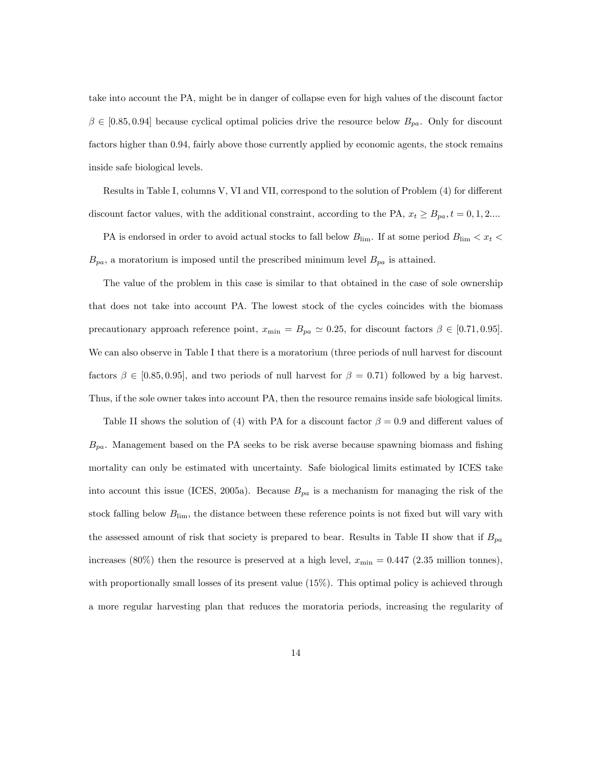take into account the PA, might be in danger of collapse even for high values of the discount factor  $\beta \in [0.85, 0.94]$  because cyclical optimal policies drive the resource below  $B_{pa}$ . Only for discount factors higher than 0:94, fairly above those currently applied by economic agents, the stock remains inside safe biological levels.

Results in Table I, columns V, VI and VII, correspond to the solution of Problem (4) for different discount factor values, with the additional constraint, according to the PA,  $x_t \ge B_{pa}$ ,  $t = 0, 1, 2...$ 

PA is endorsed in order to avoid actual stocks to fall below  $B_{\text{lim}}$ . If at some period  $B_{\text{lim}} < x_t$  $B_{pa}$ , a moratorium is imposed until the prescribed minimum level  $B_{pa}$  is attained.

The value of the problem in this case is similar to that obtained in the case of sole ownership that does not take into account PA. The lowest stock of the cycles coincides with the biomass precautionary approach reference point,  $x_{\min} = B_{pa} \approx 0.25$ , for discount factors  $\beta \in [0.71, 0.95]$ . We can also observe in Table I that there is a moratorium (three periods of null harvest for discount factors  $\beta \in [0.85, 0.95]$ , and two periods of null harvest for  $\beta = 0.71$  followed by a big harvest. Thus, if the sole owner takes into account PA, then the resource remains inside safe biological limits.

Table II shows the solution of (4) with PA for a discount factor  $\beta = 0.9$  and different values of  $B_{pa}$ . Management based on the PA seeks to be risk averse because spawning biomass and fishing mortality can only be estimated with uncertainty. Safe biological limits estimated by ICES take into account this issue (ICES, 2005a). Because  $B_{pa}$  is a mechanism for managing the risk of the stock falling below  $B_{\text{lim}}$ , the distance between these reference points is not fixed but will vary with the assessed amount of risk that society is prepared to bear. Results in Table II show that if  $B_{pa}$ increases (80%) then the resource is preserved at a high level,  $x_{\min} = 0.447$  (2.35 million tonnes), with proportionally small losses of its present value (15%). This optimal policy is achieved through a more regular harvesting plan that reduces the moratoria periods, increasing the regularity of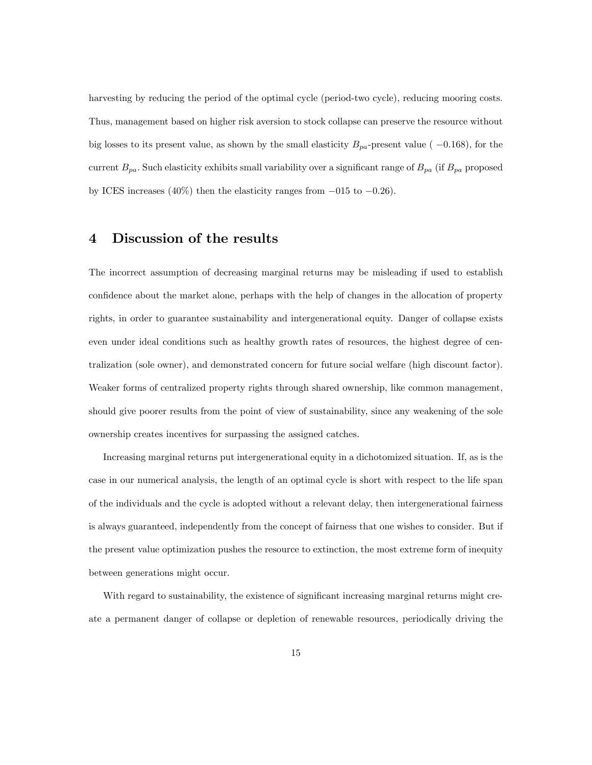harvesting by reducing the period of the optimal cycle (period-two cycle), reducing mooring costs. Thus, management based on higher risk aversion to stock collapse can preserve the resource without big losses to its present value, as shown by the small elasticity  $B_{pa}$ -present value (-0.168), for the current  $B_{pa}$ . Such elasticity exhibits small variability over a significant range of  $B_{pa}$  (if  $B_{pa}$  proposed by ICES increases (40%) then the elasticity ranges from  $-015$  to  $-0.26$ ).

## 4 Discussion of the results

The incorrect assumption of decreasing marginal returns may be misleading if used to establish confidence about the market alone, perhaps with the help of changes in the allocation of property rights, in order to guarantee sustainability and intergenerational equity. Danger of collapse exists even under ideal conditions such as healthy growth rates of resources, the highest degree of centralization (sole owner), and demonstrated concern for future social welfare (high discount factor). Weaker forms of centralized property rights through shared ownership, like common management, should give poorer results from the point of view of sustainability, since any weakening of the sole ownership creates incentives for surpassing the assigned catches.

Increasing marginal returns put intergenerational equity in a dichotomized situation. If, as is the case in our numerical analysis, the length of an optimal cycle is short with respect to the life span of the individuals and the cycle is adopted without a relevant delay, then intergenerational fairness is always guaranteed, independently from the concept of fairness that one wishes to consider. But if the present value optimization pushes the resource to extinction, the most extreme form of inequity between generations might occur.

With regard to sustainability, the existence of significant increasing marginal returns might create a permanent danger of collapse or depletion of renewable resources, periodically driving the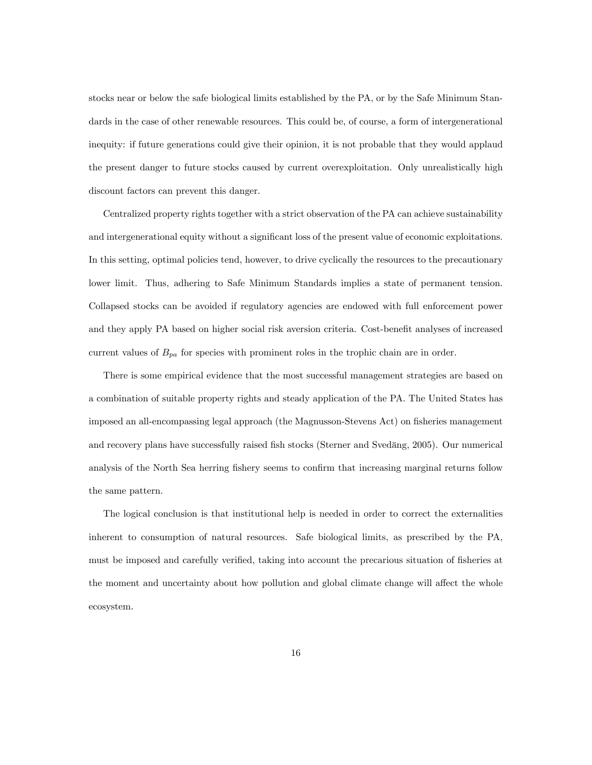stocks near or below the safe biological limits established by the PA, or by the Safe Minimum Standards in the case of other renewable resources. This could be, of course, a form of intergenerational inequity: if future generations could give their opinion, it is not probable that they would applaud the present danger to future stocks caused by current overexploitation. Only unrealistically high discount factors can prevent this danger.

Centralized property rights together with a strict observation of the PA can achieve sustainability and intergenerational equity without a significant loss of the present value of economic exploitations. In this setting, optimal policies tend, however, to drive cyclically the resources to the precautionary lower limit. Thus, adhering to Safe Minimum Standards implies a state of permanent tension. Collapsed stocks can be avoided if regulatory agencies are endowed with full enforcement power and they apply PA based on higher social risk aversion criteria. Cost-benefit analyses of increased current values of  $B_{pa}$  for species with prominent roles in the trophic chain are in order.

There is some empirical evidence that the most successful management strategies are based on a combination of suitable property rights and steady application of the PA. The United States has imposed an all-encompassing legal approach (the Magnusson-Stevens Act) on fisheries management and recovery plans have successfully raised fish stocks (Sterner and Svedäng, 2005). Our numerical analysis of the North Sea herring fishery seems to confirm that increasing marginal returns follow the same pattern.

The logical conclusion is that institutional help is needed in order to correct the externalities inherent to consumption of natural resources. Safe biological limits, as prescribed by the PA, must be imposed and carefully verified, taking into account the precarious situation of fisheries at the moment and uncertainty about how pollution and global climate change will affect the whole ecosystem.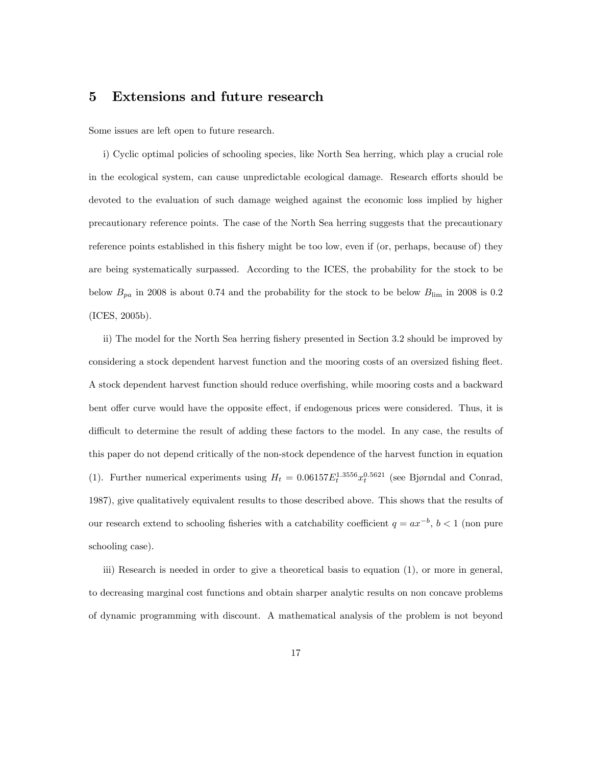# 5 Extensions and future research

Some issues are left open to future research.

i) Cyclic optimal policies of schooling species, like North Sea herring, which play a crucial role in the ecological system, can cause unpredictable ecological damage. Research efforts should be devoted to the evaluation of such damage weighed against the economic loss implied by higher precautionary reference points. The case of the North Sea herring suggests that the precautionary reference points established in this fishery might be too low, even if (or, perhaps, because of) they are being systematically surpassed. According to the ICES, the probability for the stock to be below  $B_{pa}$  in 2008 is about 0.74 and the probability for the stock to be below  $B_{\text{lim}}$  in 2008 is 0.2 (ICES, 2005b).

ii) The model for the North Sea herring fishery presented in Section 3.2 should be improved by considering a stock dependent harvest function and the mooring costs of an oversized fishing fleet. A stock dependent harvest function should reduce overfishing, while mooring costs and a backward bent offer curve would have the opposite effect, if endogenous prices were considered. Thus, it is difficult to determine the result of adding these factors to the model. In any case, the results of this paper do not depend critically of the non-stock dependence of the harvest function in equation (1). Further numerical experiments using  $H_t = 0.06157 E_t^{1.3556} x_t^{0.5621}$  (see Bjørndal and Conrad, 1987), give qualitatively equivalent results to those described above. This shows that the results of our research extend to schooling fisheries with a catchability coefficient  $q = ax^{-b}$ ,  $b < 1$  (non pure schooling case).

iii) Research is needed in order to give a theoretical basis to equation (1), or more in general, to decreasing marginal cost functions and obtain sharper analytic results on non concave problems of dynamic programming with discount. A mathematical analysis of the problem is not beyond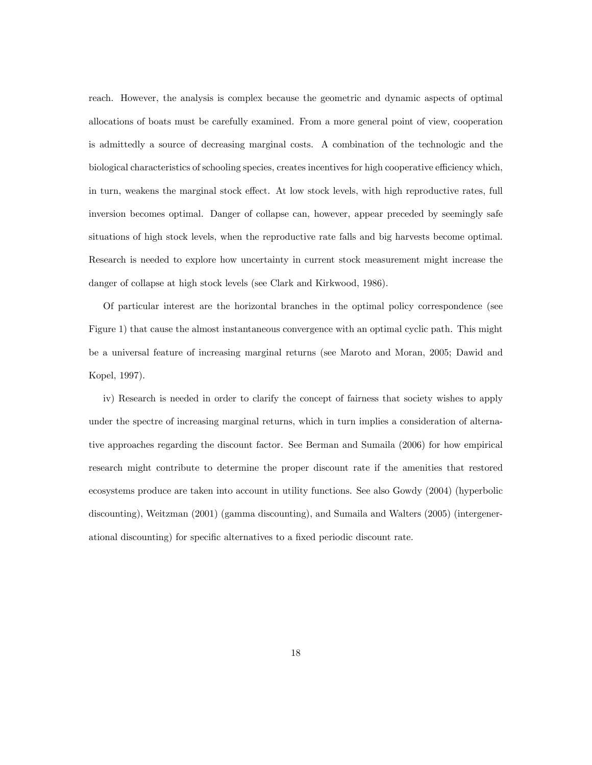reach. However, the analysis is complex because the geometric and dynamic aspects of optimal allocations of boats must be carefully examined. From a more general point of view, cooperation is admittedly a source of decreasing marginal costs. A combination of the technologic and the biological characteristics of schooling species, creates incentives for high cooperative efficiency which, in turn, weakens the marginal stock effect. At low stock levels, with high reproductive rates, full inversion becomes optimal. Danger of collapse can, however, appear preceded by seemingly safe situations of high stock levels, when the reproductive rate falls and big harvests become optimal. Research is needed to explore how uncertainty in current stock measurement might increase the danger of collapse at high stock levels (see Clark and Kirkwood, 1986).

Of particular interest are the horizontal branches in the optimal policy correspondence (see Figure 1) that cause the almost instantaneous convergence with an optimal cyclic path. This might be a universal feature of increasing marginal returns (see Maroto and Moran, 2005; Dawid and Kopel, 1997).

iv) Research is needed in order to clarify the concept of fairness that society wishes to apply under the spectre of increasing marginal returns, which in turn implies a consideration of alternative approaches regarding the discount factor. See Berman and Sumaila (2006) for how empirical research might contribute to determine the proper discount rate if the amenities that restored ecosystems produce are taken into account in utility functions. See also Gowdy (2004) (hyperbolic discounting), Weitzman (2001) (gamma discounting), and Sumaila and Walters (2005) (intergenerational discounting) for specific alternatives to a fixed periodic discount rate.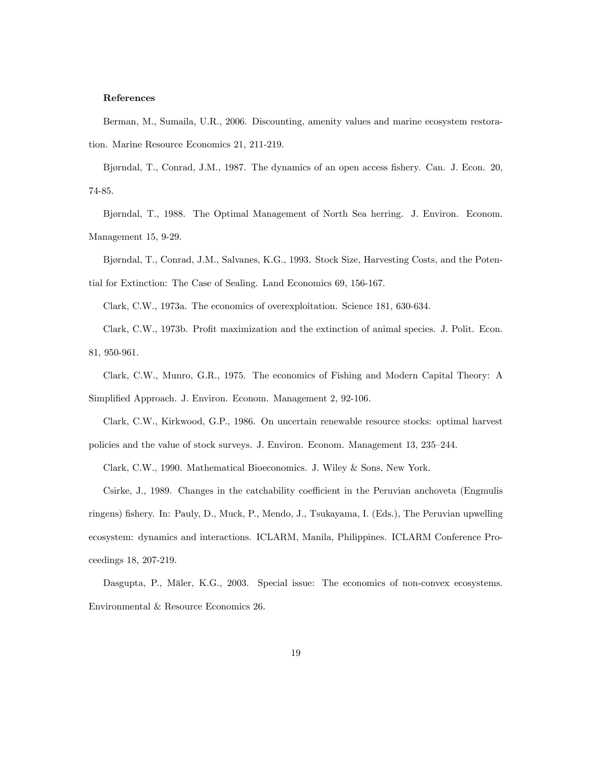#### References

Berman, M., Sumaila, U.R., 2006. Discounting, amenity values and marine ecosystem restoration. Marine Resource Economics 21, 211-219.

Bjørndal, T., Conrad, J.M., 1987. The dynamics of an open access fishery. Can. J. Econ. 20, 74-85.

Bjørndal, T., 1988. The Optimal Management of North Sea herring. J. Environ. Econom. Management 15, 9-29.

Bjørndal, T., Conrad, J.M., Salvanes, K.G., 1993. Stock Size, Harvesting Costs, and the Potential for Extinction: The Case of Sealing. Land Economics 69, 156-167.

Clark, C.W., 1973a. The economics of overexploitation. Science 181, 630-634.

Clark, C.W., 1973b. Profit maximization and the extinction of animal species. J. Polit. Econ. 81, 950-961.

Clark, C.W., Munro, G.R., 1975. The economics of Fishing and Modern Capital Theory: A Simplified Approach. J. Environ. Econom. Management 2, 92-106.

Clark, C.W., Kirkwood, G.P., 1986. On uncertain renewable resource stocks: optimal harvest policies and the value of stock surveys. J. Environ. Econom. Management 13, 235–244.

Clark, C.W., 1990. Mathematical Bioeconomics. J. Wiley & Sons, New York.

Csirke, J., 1989. Changes in the catchability coefficient in the Peruvian anchoveta (Engmulis ringens) fishery. In: Pauly, D., Muck, P., Mendo, J., Tsukayama, I. (Eds.), The Peruvian upwelling ecosystem: dynamics and interactions. ICLARM, Manila, Philippines. ICLARM Conference Proceedings 18, 207-219.

Dasgupta, P., Mäler, K.G., 2003. Special issue: The economics of non-convex ecosystems. Environmental & Resource Economics 26.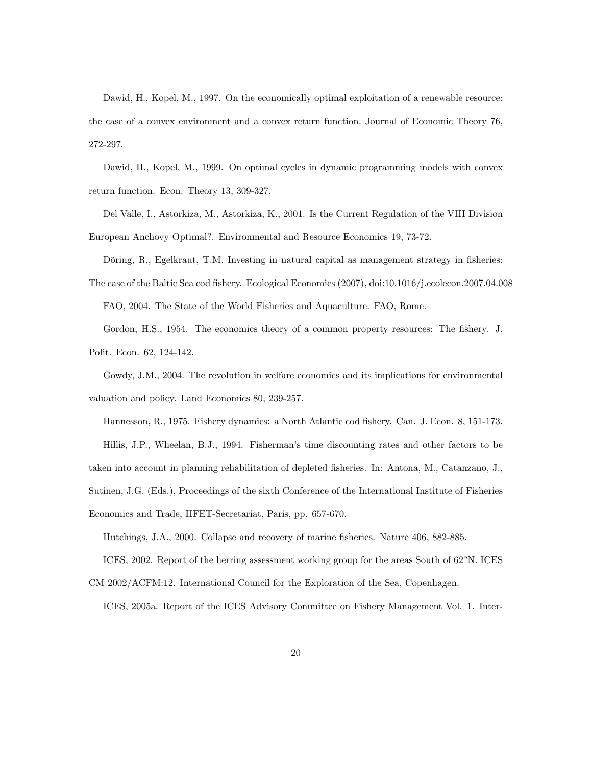Dawid, H., Kopel, M., 1997. On the economically optimal exploitation of a renewable resource: the case of a convex environment and a convex return function. Journal of Economic Theory 76, 272-297.

Dawid, H., Kopel, M., 1999. On optimal cycles in dynamic programming models with convex return function. Econ. Theory 13, 309-327.

Del Valle, I., Astorkiza, M., Astorkiza, K., 2001. Is the Current Regulation of the VIII Division European Anchovy Optimal?. Environmental and Resource Economics 19, 73-72.

Döring, R., Egelkraut, T.M. Investing in natural capital as management strategy in fisheries:

The case of the Baltic Sea cod Öshery. Ecological Economics (2007), doi:10.1016/j.ecolecon.2007.04.008

FAO, 2004. The State of the World Fisheries and Aquaculture. FAO, Rome.

Gordon, H.S., 1954. The economics theory of a common property resources: The fishery. J. Polit. Econ. 62, 124-142.

Gowdy, J.M., 2004. The revolution in welfare economics and its implications for environmental valuation and policy. Land Economics 80, 239-257.

Hannesson, R., 1975. Fishery dynamics: a North Atlantic cod fishery. Can. J. Econ. 8, 151-173.

Hillis, J.P., Wheelan, B.J., 1994. Fishermanís time discounting rates and other factors to be

taken into account in planning rehabilitation of depleted fisheries. In: Antona, M., Catanzano, J.,

Sutinen, J.G. (Eds.), Proceedings of the sixth Conference of the International Institute of Fisheries

Economics and Trade, IIFET-Secretariat, Paris, pp. 657-670.

Hutchings, J.A., 2000. Collapse and recovery of marine fisheries. Nature 406, 882-885.

ICES, 2002. Report of the herring assessment working group for the areas South of  $62^{\circ}$ N. ICES CM 2002/ACFM:12. International Council for the Exploration of the Sea, Copenhagen.

ICES, 2005a. Report of the ICES Advisory Committee on Fishery Management Vol. 1. Inter-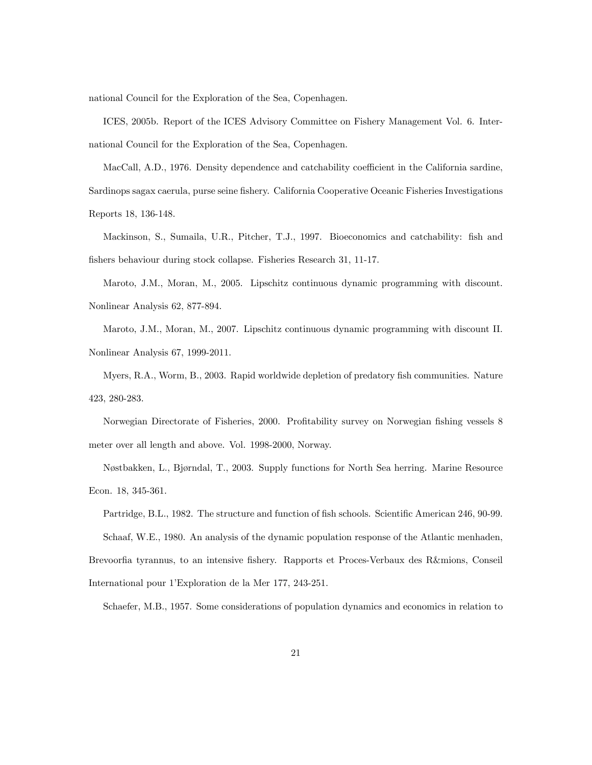national Council for the Exploration of the Sea, Copenhagen.

ICES, 2005b. Report of the ICES Advisory Committee on Fishery Management Vol. 6. International Council for the Exploration of the Sea, Copenhagen.

MacCall, A.D., 1976. Density dependence and catchability coefficient in the California sardine, Sardinops sagax caerula, purse seine fishery. California Cooperative Oceanic Fisheries Investigations Reports 18, 136-148.

Mackinson, S., Sumaila, U.R., Pitcher, T.J., 1997. Bioeconomics and catchability: fish and fishers behaviour during stock collapse. Fisheries Research 31, 11-17.

Maroto, J.M., Moran, M., 2005. Lipschitz continuous dynamic programming with discount. Nonlinear Analysis 62, 877-894.

Maroto, J.M., Moran, M., 2007. Lipschitz continuous dynamic programming with discount II. Nonlinear Analysis 67, 1999-2011.

Myers, R.A., Worm, B., 2003. Rapid worldwide depletion of predatory fish communities. Nature 423, 280-283.

Norwegian Directorate of Fisheries, 2000. Profitability survey on Norwegian fishing vessels 8 meter over all length and above. Vol. 1998-2000, Norway.

Nøstbakken, L., Bjørndal, T., 2003. Supply functions for North Sea herring. Marine Resource Econ. 18, 345-361.

Partridge, B.L., 1982. The structure and function of fish schools. Scientific American 246, 90-99. Schaaf, W.E., 1980. An analysis of the dynamic population response of the Atlantic menhaden, Brevoorfia tyrannus, to an intensive fishery. Rapports et Proces-Verbaux des R&mions, Conseil International pour 1íExploration de la Mer 177, 243-251.

Schaefer, M.B., 1957. Some considerations of population dynamics and economics in relation to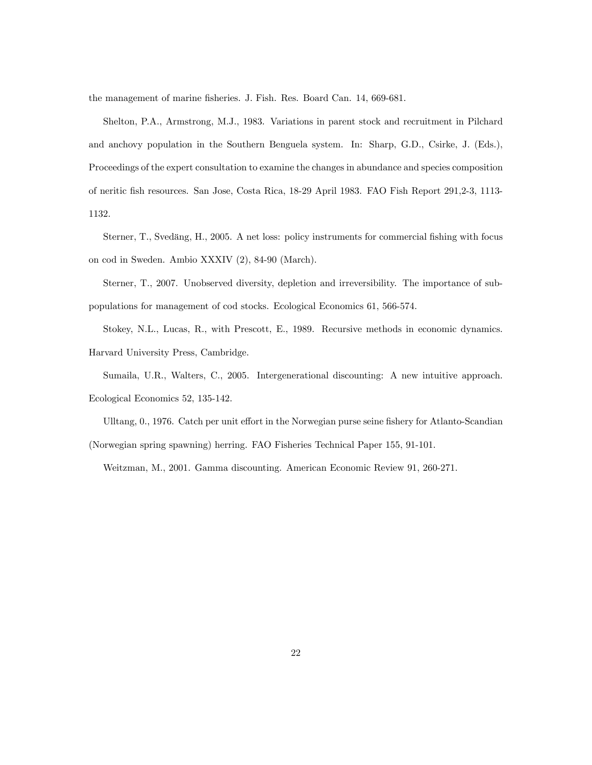the management of marine fisheries. J. Fish. Res. Board Can. 14, 669-681.

Shelton, P.A., Armstrong, M.J., 1983. Variations in parent stock and recruitment in Pilchard and anchovy population in the Southern Benguela system. In: Sharp, G.D., Csirke, J. (Eds.), Proceedings of the expert consultation to examine the changes in abundance and species composition of neritic Ösh resources. San Jose, Costa Rica, 18-29 April 1983. FAO Fish Report 291,2-3, 1113- 1132.

Sterner, T., Svedäng, H., 2005. A net loss: policy instruments for commercial fishing with focus on cod in Sweden. Ambio XXXIV (2), 84-90 (March).

Sterner, T., 2007. Unobserved diversity, depletion and irreversibility. The importance of subpopulations for management of cod stocks. Ecological Economics 61, 566-574.

Stokey, N.L., Lucas, R., with Prescott, E., 1989. Recursive methods in economic dynamics. Harvard University Press, Cambridge.

Sumaila, U.R., Walters, C., 2005. Intergenerational discounting: A new intuitive approach. Ecological Economics 52, 135-142.

Ulltang, 0., 1976. Catch per unit effort in the Norwegian purse seine fishery for Atlanto-Scandian (Norwegian spring spawning) herring. FAO Fisheries Technical Paper 155, 91-101.

Weitzman, M., 2001. Gamma discounting. American Economic Review 91, 260-271.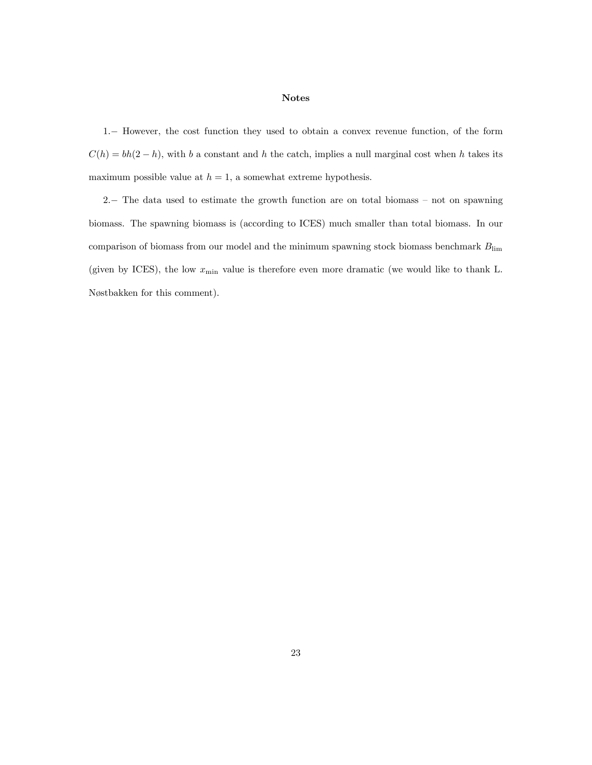#### Notes

1: However, the cost function they used to obtain a convex revenue function, of the form  $C(h) = bh(2-h)$ , with b a constant and h the catch, implies a null marginal cost when h takes its maximum possible value at  $h = 1$ , a somewhat extreme hypothesis.

2. The data used to estimate the growth function are on total biomass  $-$  not on spawning biomass. The spawning biomass is (according to ICES) much smaller than total biomass. In our comparison of biomass from our model and the minimum spawning stock biomass benchmark  $B_{\text{lim}}$ (given by ICES), the low  $x_{\min}$  value is therefore even more dramatic (we would like to thank L. Nøstbakken for this comment).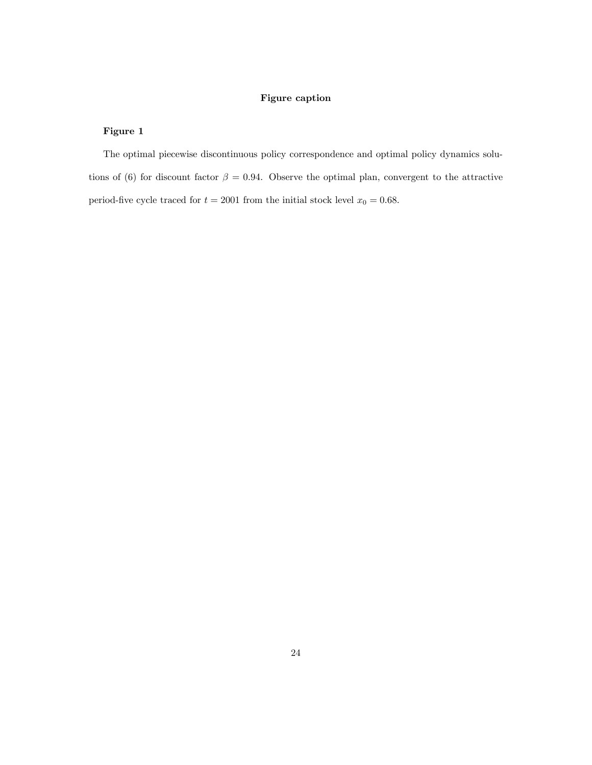#### Figure caption

#### Figure 1

The optimal piecewise discontinuous policy correspondence and optimal policy dynamics solutions of (6) for discount factor  $\beta = 0.94$ . Observe the optimal plan, convergent to the attractive period-five cycle traced for  $t = 2001$  from the initial stock level  $x_0 = 0.68$ .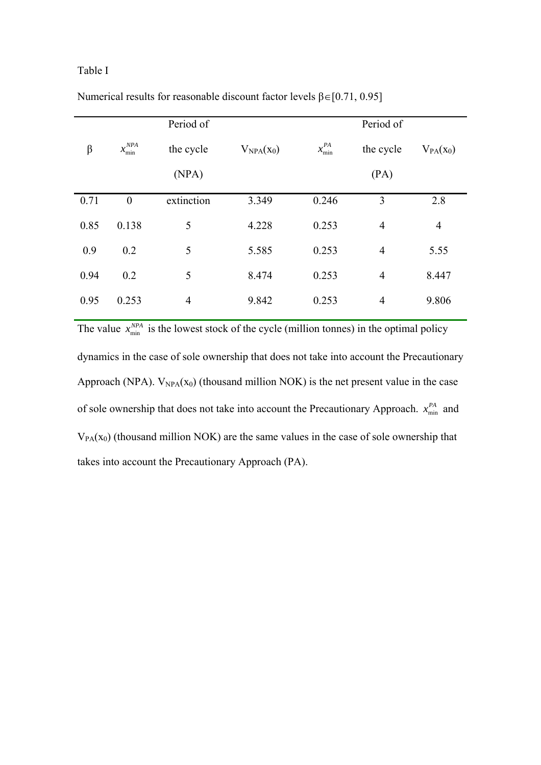# Table I

|         |                     | Period of      |                |                 | Period of      |                |
|---------|---------------------|----------------|----------------|-----------------|----------------|----------------|
| $\beta$ | $x^{NPA}_{\rm min}$ | the cycle      | $V_{NPA}(x_0)$ | $x_{\min}^{PA}$ | the cycle      | $V_{PA}(x_0)$  |
|         |                     | (NPA)          |                |                 | (PA)           |                |
| 0.71    | $\overline{0}$      | extinction     | 3.349          | 0.246           | 3              | 2.8            |
| 0.85    | 0.138               | 5              | 4.228          | 0.253           | $\overline{4}$ | $\overline{4}$ |
| 0.9     | 0.2                 | 5              | 5.585          | 0.253           | $\overline{4}$ | 5.55           |
| 0.94    | 0.2                 | 5              | 8.474          | 0.253           | $\overline{4}$ | 8.447          |
| 0.95    | 0.253               | $\overline{4}$ | 9.842          | 0.253           | $\overline{4}$ | 9.806          |

Numerical results for reasonable discount factor levels  $\beta \in [0.71, 0.95]$ 

The value  $x_{\min}^{NPA}$  is the lowest stock of the cycle (million tonnes) in the optimal policy dynamics in the case of sole ownership that does not take into account the Precautionary Approach (NPA).  $V_{NPA}(x_0)$  (thousand million NOK) is the net present value in the case of sole ownership that does not take into account the Precautionary Approach.  $x_{\min}^{PA}$  and  $V_{PA}(x_0)$  (thousand million NOK) are the same values in the case of sole ownership that takes into account the Precautionary Approach (PA).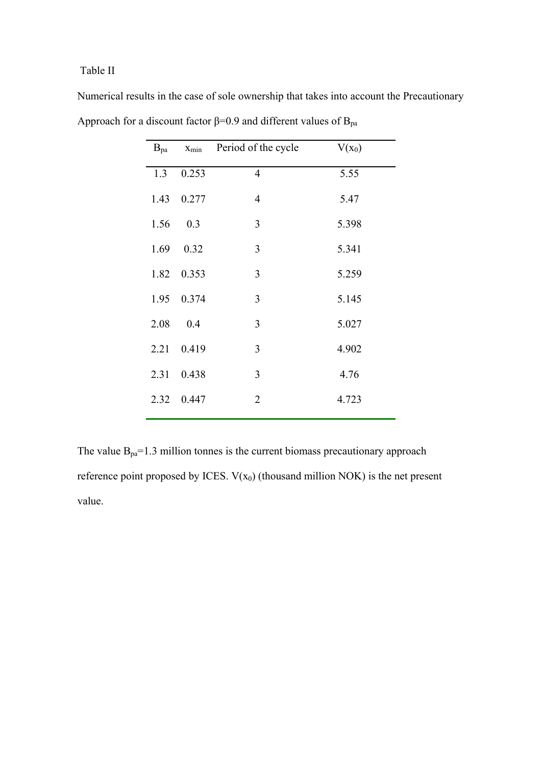# Table II

| $B_{pa}$ | $x_{\min}$ | Period of the cycle | $V(x_0)$ |
|----------|------------|---------------------|----------|
| 1.3      | 0.253      | $\overline{4}$      | 5.55     |
|          | 1.43 0.277 | $\overline{4}$      | 5.47     |
| 1.56     | 0.3        | 3                   | 5.398    |
| 1.69     | 0.32       | 3                   | 5.341    |
|          | 1.82 0.353 | 3                   | 5.259    |
|          | 1.95 0.374 | 3                   | 5.145    |
| 2.08     | 0.4        | 3                   | 5.027    |
|          | 2.21 0.419 | 3                   | 4.902    |
|          | 2.31 0.438 | 3                   | 4.76     |
|          | 2.32 0.447 | $\overline{2}$      | 4.723    |
|          |            |                     |          |

Numerical results in the case of sole ownership that takes into account the Precautionary Approach for a discount factor  $\beta$ =0.9 and different values of  $B_{pa}$ 

The value  $B_{pa} = 1.3$  million tonnes is the current biomass precautionary approach reference point proposed by ICES.  $V(x_0)$  (thousand million NOK) is the net present value.